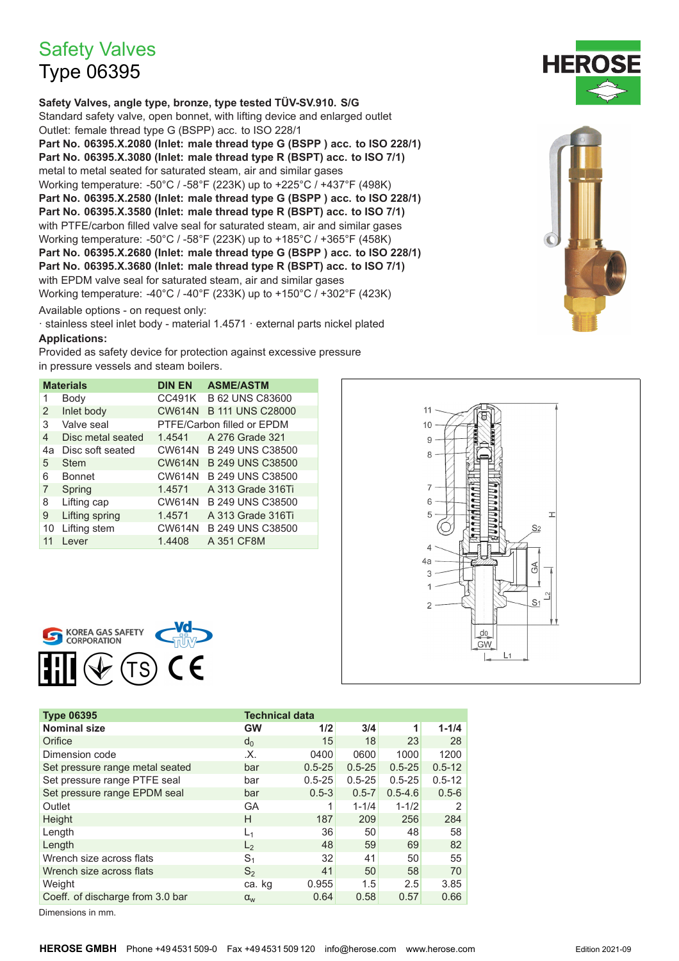## **Safety Valves**

## **Type 06395**

Safety Valves, angle type, bronze, type tested TÜV-SV.910. S/G Standard safety valve, open bonnet, with lifting device and enlarged outlet Outlet: female thread type G (BSPP) acc. to ISO 228/1 Part No. 06395.X.2080 (Inlet: male thread type G (BSPP) acc. to ISO 228/1) Part No. 06395.X.3080 (Inlet: male thread type R (BSPT) acc. to ISO 7/1) metal to metal seated for saturated steam, air and similar gases Working temperature: -50°C / -58°F (223K) up to +225°C / +437°F (498K) Part No. 06395.X.2580 (Inlet: male thread type G (BSPP) acc. to ISO 228/1) Part No. 06395.X.3580 (Inlet: male thread type R (BSPT) acc. to ISO 7/1) with PTFE/carbon filled valve seal for saturated steam, air and similar gases Working temperature: -50°C / -58°F (223K) up to +185°C / +365°F (458K) Part No. 06395.X.2680 (Inlet: male thread type G (BSPP ) acc. to ISO 228/1) Part No. 06395.X.3680 (Inlet: male thread type R (BSPT) acc. to ISO 7/1) with EPDM valve seal for saturated steam, air and similar gases Working temperature: -40°C / -40°F (233K) up to +150°C / +302°F (423K)

Available options - on request only:

· stainless steel inlet body - material 1.4571 · external parts nickel plated **Applications:** 

Provided as safety device for protection against excessive pressure in pressure vessels and steam boilers.

| <b>Materials</b> |                   | <b>DIN EN</b>              | <b>ASME/ASTM</b>        |  |  |  |
|------------------|-------------------|----------------------------|-------------------------|--|--|--|
| 1                | Body              | CC491K                     | <b>B 62 UNS C83600</b>  |  |  |  |
| 2                | Inlet body        | <b>CW614N</b>              | <b>B 111 UNS C28000</b> |  |  |  |
| 3                | Valve seal        | PTFE/Carbon filled or EPDM |                         |  |  |  |
| 4                | Disc metal seated | 1.4541                     | A 276 Grade 321         |  |  |  |
| 4a               | Disc soft seated  |                            | CW614N B 249 UNS C38500 |  |  |  |
| 5                | Stem              |                            | CW614N B 249 UNS C38500 |  |  |  |
| 6                | <b>Bonnet</b>     | <b>CW614N</b>              | B 249 UNS C38500        |  |  |  |
| 7                | Spring            | 1.4571                     | A 313 Grade 316Ti       |  |  |  |
| 8                | Lifting cap       | <b>CW614N</b>              | B 249 UNS C38500        |  |  |  |
| 9                | Lifting spring    | 1.4571                     | A 313 Grade 316Ti       |  |  |  |
| 10               | Lifting stem      | <b>CW614N</b>              | B 249 UNS C38500        |  |  |  |
| 11               | Lever             | 1.4408                     | A 351 CF8M              |  |  |  |





| <b>Type 06395</b>                |                | <b>Technical data</b> |            |             |            |  |  |
|----------------------------------|----------------|-----------------------|------------|-------------|------------|--|--|
| <b>Nominal size</b>              | <b>GW</b>      | 1/2                   | 3/4        | 1           | $1 - 1/4$  |  |  |
| Orifice                          | $d_0$          | 15                    | 18         | 23          | 28         |  |  |
| Dimension code                   | .X.            | 0400                  | 0600       | 1000        | 1200       |  |  |
| Set pressure range metal seated  | bar            | $0.5 - 25$            | $0.5 - 25$ | $0.5 - 25$  | $0.5 - 12$ |  |  |
| Set pressure range PTFE seal     | bar            | $0.5 - 25$            | $0.5 - 25$ | $0.5 - 25$  | $0.5 - 12$ |  |  |
| Set pressure range EPDM seal     | bar            | $0.5 - 3$             | $0.5 - 7$  | $0.5 - 4.6$ | $0.5 - 6$  |  |  |
| Outlet                           | GА             |                       | $1 - 1/4$  | $1 - 1/2$   | 2          |  |  |
| Height                           | Н              | 187                   | 209        | 256         | 284        |  |  |
| Length                           | $L_1$          | 36                    | 50         | 48          | 58         |  |  |
| Length                           | L <sub>2</sub> | 48                    | 59         | 69          | 82         |  |  |
| Wrench size across flats         | S <sub>1</sub> | 32                    | 41         | 50          | 55         |  |  |
| Wrench size across flats         | $S_2$          | 41                    | 50         | 58          | 70         |  |  |
| Weight                           | ca. kg         | 0.955                 | 1.5        | 2.5         | 3.85       |  |  |
| Coeff. of discharge from 3.0 bar | $\alpha_{w}$   | 0.64                  | 0.58       | 0.57        | 0.66       |  |  |

Dimensions in mm.